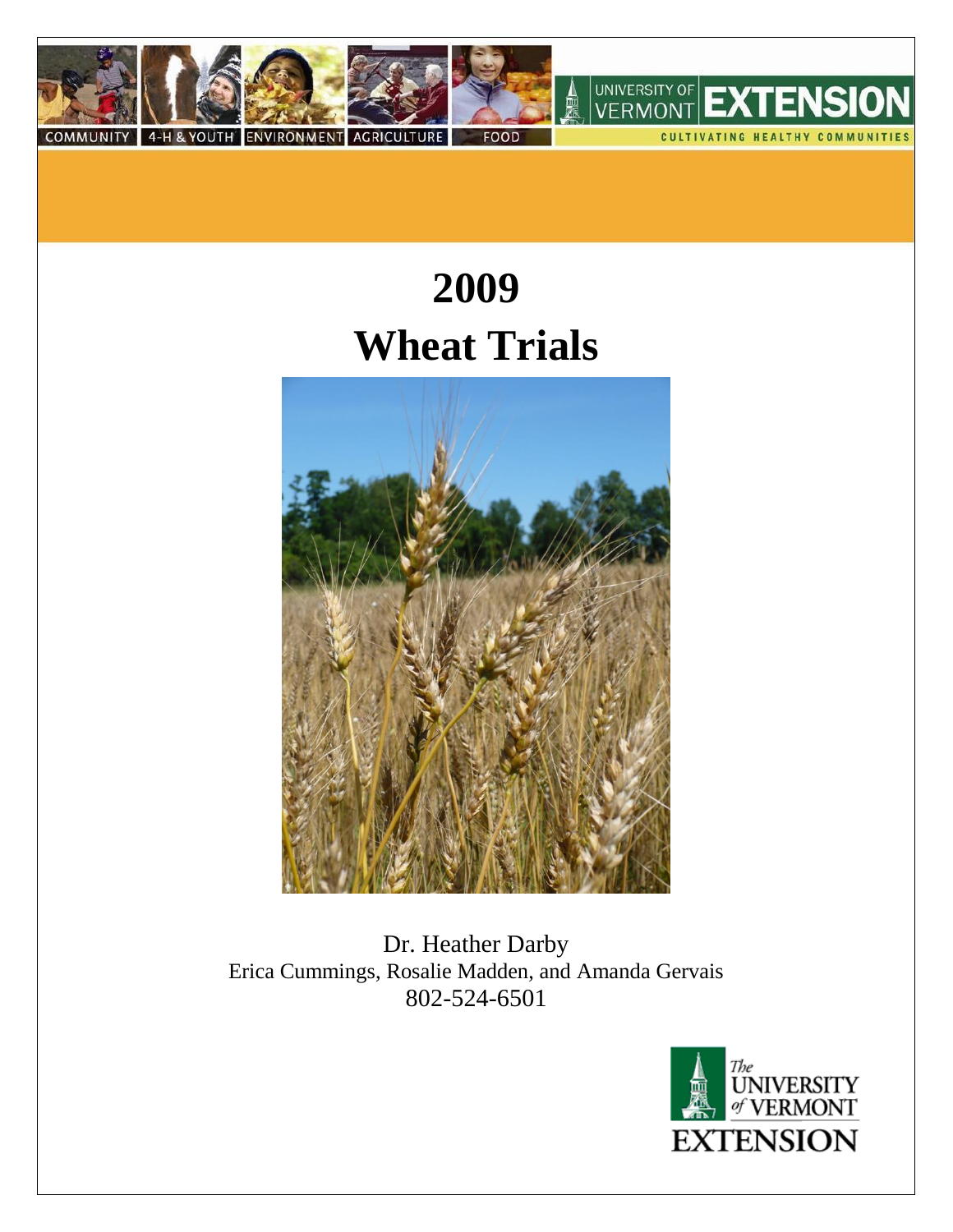

# **2009 Wheat Trials**



Dr. Heather Darby Erica Cummings, Rosalie Madden, and Amanda Gervais 802-524-6501

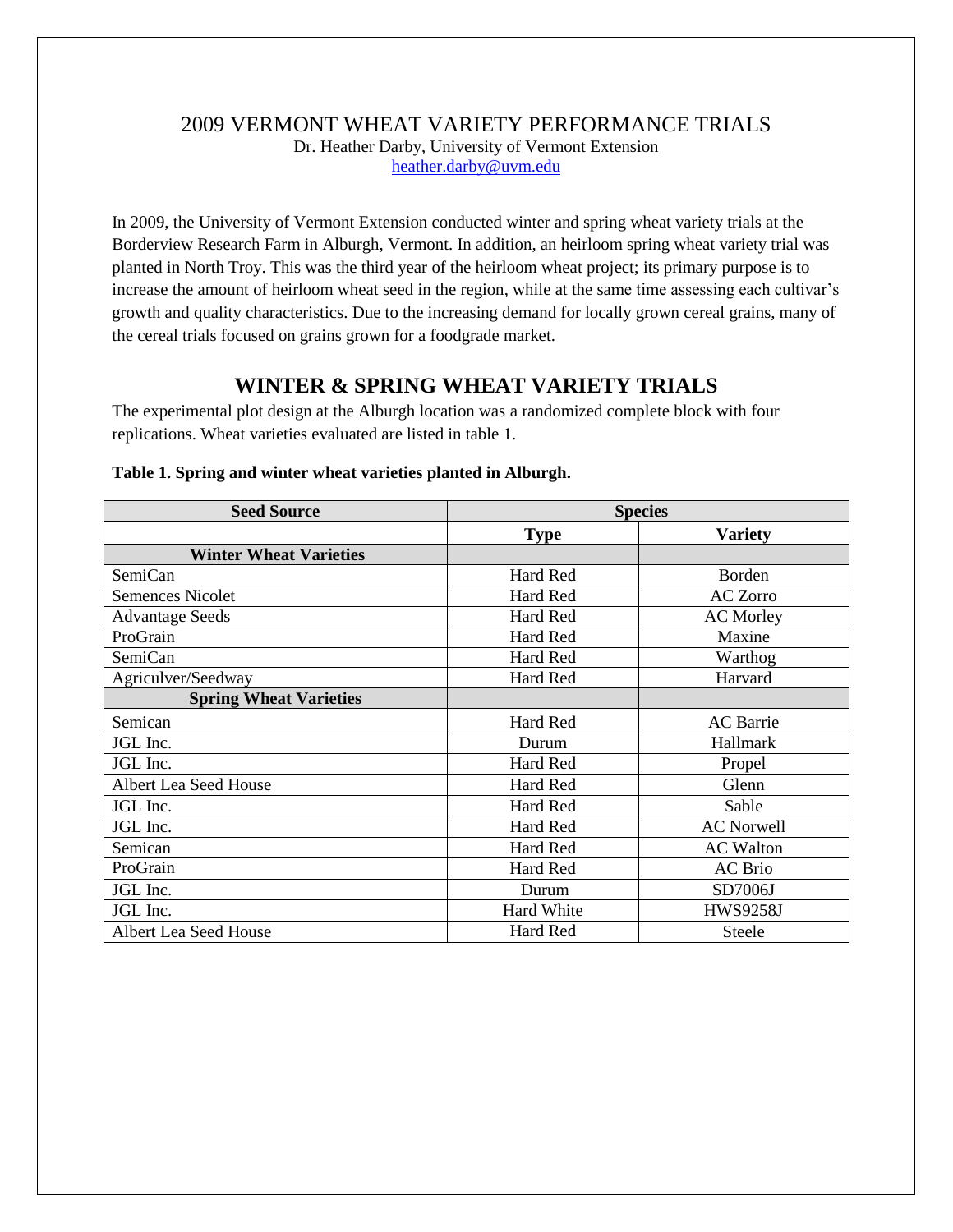# 2009 VERMONT WHEAT VARIETY PERFORMANCE TRIALS Dr. Heather Darby, University of Vermont Extension [heather.darby@uvm.edu](mailto:heather.darby@uvm.edu)

In 2009, the University of Vermont Extension conducted winter and spring wheat variety trials at the Borderview Research Farm in Alburgh, Vermont. In addition, an heirloom spring wheat variety trial was planted in North Troy. This was the third year of the heirloom wheat project; its primary purpose is to increase the amount of heirloom wheat seed in the region, while at the same time assessing each cultivar's growth and quality characteristics. Due to the increasing demand for locally grown cereal grains, many of the cereal trials focused on grains grown for a foodgrade market.

# **WINTER & SPRING WHEAT VARIETY TRIALS**

The experimental plot design at the Alburgh location was a randomized complete block with four replications. Wheat varieties evaluated are listed in table 1.

| <b>Seed Source</b>            | <b>Species</b>    |                   |  |
|-------------------------------|-------------------|-------------------|--|
|                               | <b>Type</b>       | <b>Variety</b>    |  |
| <b>Winter Wheat Varieties</b> |                   |                   |  |
| SemiCan                       | Hard Red          | Borden            |  |
| <b>Semences Nicolet</b>       | Hard Red          | <b>AC Zorro</b>   |  |
| <b>Advantage Seeds</b>        | Hard Red          | <b>AC Morley</b>  |  |
| ProGrain                      | Hard Red          | Maxine            |  |
| SemiCan                       | Hard Red          | Warthog           |  |
| Agriculver/Seedway            | Hard Red          | Harvard           |  |
| <b>Spring Wheat Varieties</b> |                   |                   |  |
| Semican                       | Hard Red          | <b>AC</b> Barrie  |  |
| JGL Inc.                      | Durum             | Hallmark          |  |
| JGL Inc.                      | Hard Red          | Propel            |  |
| Albert Lea Seed House         | Hard Red          | Glenn             |  |
| JGL Inc.                      | Hard Red          | Sable             |  |
| JGL Inc.                      | Hard Red          | <b>AC Norwell</b> |  |
| Semican                       | Hard Red          | <b>AC</b> Walton  |  |
| ProGrain                      | Hard Red          | <b>AC</b> Brio    |  |
| JGL Inc.                      | Durum             | SD7006J           |  |
| JGL Inc.                      | <b>Hard White</b> | <b>HWS9258J</b>   |  |
| Albert Lea Seed House         | Hard Red          | <b>Steele</b>     |  |

#### **Table 1. Spring and winter wheat varieties planted in Alburgh.**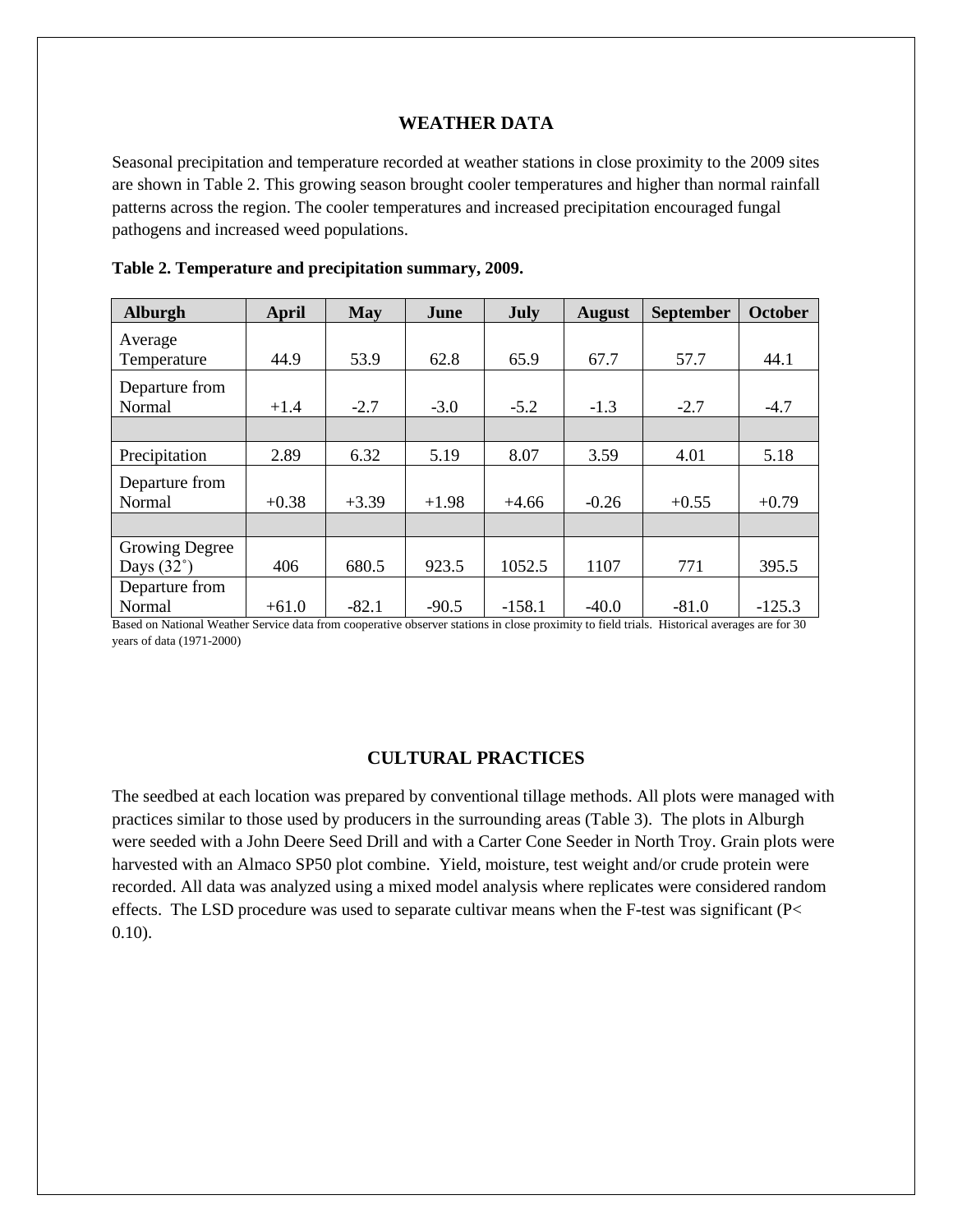## **WEATHER DATA**

Seasonal precipitation and temperature recorded at weather stations in close proximity to the 2009 sites are shown in Table 2. This growing season brought cooler temperatures and higher than normal rainfall patterns across the region. The cooler temperatures and increased precipitation encouraged fungal pathogens and increased weed populations.

| <b>Alburgh</b>        | <b>April</b> | <b>May</b> | June    | July     | <b>August</b> | <b>September</b> | <b>October</b> |
|-----------------------|--------------|------------|---------|----------|---------------|------------------|----------------|
| Average               |              |            |         |          |               |                  |                |
| Temperature           | 44.9         | 53.9       | 62.8    | 65.9     | 67.7          | 57.7             | 44.1           |
| Departure from        |              |            |         |          |               |                  |                |
| Normal                | $+1.4$       | $-2.7$     | $-3.0$  | $-5.2$   | $-1.3$        | $-2.7$           | $-4.7$         |
|                       |              |            |         |          |               |                  |                |
| Precipitation         | 2.89         | 6.32       | 5.19    | 8.07     | 3.59          | 4.01             | 5.18           |
| Departure from        |              |            |         |          |               |                  |                |
| Normal                | $+0.38$      | $+3.39$    | $+1.98$ | $+4.66$  | $-0.26$       | $+0.55$          | $+0.79$        |
|                       |              |            |         |          |               |                  |                |
| <b>Growing Degree</b> |              |            |         |          |               |                  |                |
| Days $(32^\circ)$     | 406          | 680.5      | 923.5   | 1052.5   | 1107          | 771              | 395.5          |
| Departure from        |              |            |         |          |               |                  |                |
| Normal                | $+61.0$      | $-82.1$    | $-90.5$ | $-158.1$ | $-40.0$       | $-81.0$          | $-125.3$       |

**Table 2. Temperature and precipitation summary, 2009.**

Based on National Weather Service data from cooperative observer stations in close proximity to field trials. Historical averages are for 30 years of data (1971-2000)

# **CULTURAL PRACTICES**

The seedbed at each location was prepared by conventional tillage methods. All plots were managed with practices similar to those used by producers in the surrounding areas (Table 3). The plots in Alburgh were seeded with a John Deere Seed Drill and with a Carter Cone Seeder in North Troy. Grain plots were harvested with an Almaco SP50 plot combine. Yield, moisture, test weight and/or crude protein were recorded. All data was analyzed using a mixed model analysis where replicates were considered random effects. The LSD procedure was used to separate cultivar means when the F-test was significant (P< 0.10).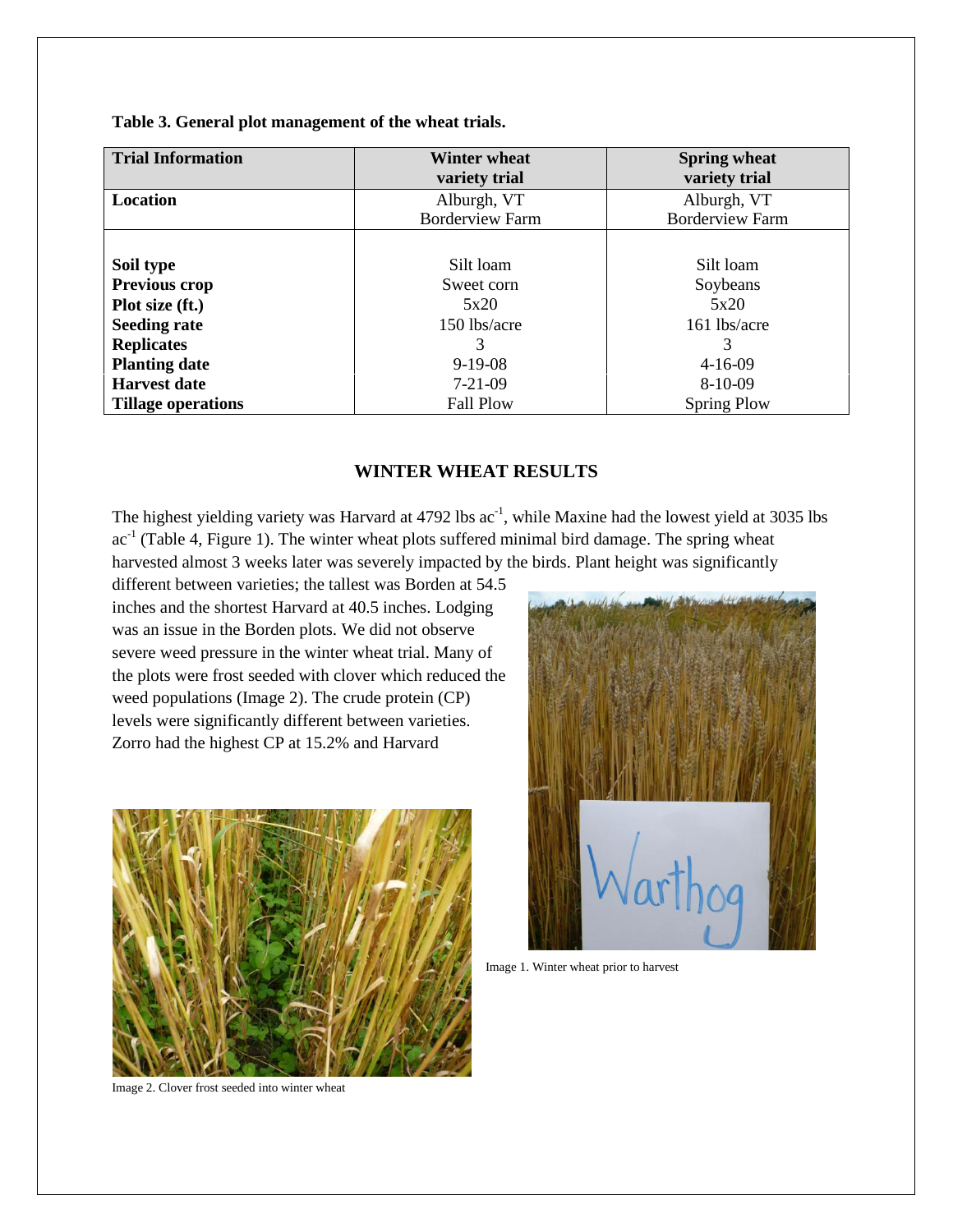**Table 3. General plot management of the wheat trials.**

| <b>Trial Information</b>  | <b>Winter wheat</b>    | <b>Spring wheat</b>    |
|---------------------------|------------------------|------------------------|
|                           | variety trial          | variety trial          |
| Location                  | Alburgh, VT            | Alburgh, VT            |
|                           | <b>Borderview Farm</b> | <b>Borderview Farm</b> |
|                           |                        |                        |
| Soil type                 | Silt loam              | Silt loam              |
| Previous crop             | Sweet corn             | Soybeans               |
| Plot size (ft.)           | 5x20                   | 5x20                   |
| <b>Seeding rate</b>       | 150 lbs/acre           | 161 lbs/acre           |
| <b>Replicates</b>         | 3                      | 3                      |
| <b>Planting date</b>      | $9-19-08$              | $4 - 16 - 09$          |
| <b>Harvest date</b>       | $7 - 21 - 09$          | $8-10-09$              |
| <b>Tillage operations</b> | <b>Fall Plow</b>       | <b>Spring Plow</b>     |

# **WINTER WHEAT RESULTS**

The highest yielding variety was Harvard at 4792 lbs ac<sup>-1</sup>, while Maxine had the lowest yield at 3035 lbs  $ac<sup>-1</sup>$  (Table 4, Figure 1). The winter wheat plots suffered minimal bird damage. The spring wheat harvested almost 3 weeks later was severely impacted by the birds. Plant height was significantly

different between varieties; the tallest was Borden at 54.5 inches and the shortest Harvard at 40.5 inches. Lodging was an issue in the Borden plots. We did not observe severe weed pressure in the winter wheat trial. Many of the plots were frost seeded with clover which reduced the weed populations (Image 2). The crude protein (CP) levels were significantly different between varieties. Zorro had the highest CP at 15.2% and Harvard





Image 1. Winter wheat prior to harvest

Image 2. Clover frost seeded into winter wheat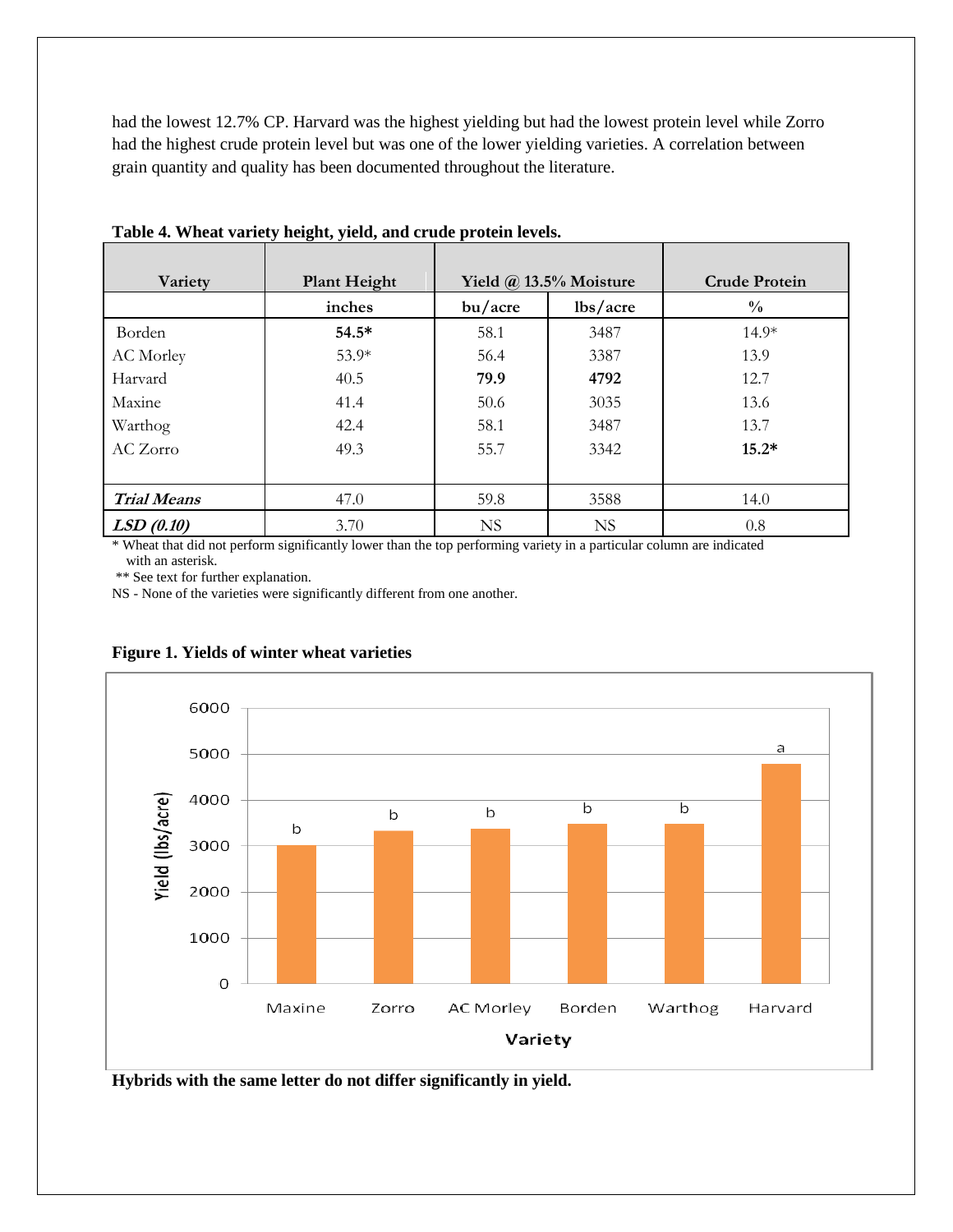had the lowest 12.7% CP. Harvard was the highest yielding but had the lowest protein level while Zorro had the highest crude protein level but was one of the lower yielding varieties. A correlation between grain quantity and quality has been documented throughout the literature.

| Variety            | <b>Plant Height</b> |           | Yield $\omega$ 13.5% Moisture | <b>Crude Protein</b> |
|--------------------|---------------------|-----------|-------------------------------|----------------------|
|                    | inches              | bu/acre   | lbs/acre                      | $\frac{0}{0}$        |
| Borden             | $54.5*$             | 58.1      | 3487                          | $14.9*$              |
| AC Morley          | $53.9*$             | 56.4      | 3387                          | 13.9                 |
| Harvard            | 40.5                | 79.9      | 4792                          | 12.7                 |
| Maxine             | 41.4                | 50.6      | 3035                          | 13.6                 |
| Warthog            | 42.4                | 58.1      | 3487                          | 13.7                 |
| AC Zorro           | 49.3                | 55.7      | 3342                          | $15.2*$              |
|                    |                     |           |                               |                      |
| <b>Trial Means</b> | 47.0                | 59.8      | 3588                          | 14.0                 |
| LSD(0.10)          | 3.70                | <b>NS</b> | <b>NS</b>                     | 0.8                  |

**Table 4. Wheat variety height, yield, and crude protein levels.** 

\* Wheat that did not perform significantly lower than the top performing variety in a particular column are indicated with an asterisk.

\*\* See text for further explanation.

NS - None of the varieties were significantly different from one another.



#### **Figure 1. Yields of winter wheat varieties**

**Hybrids with the same letter do not differ significantly in yield.**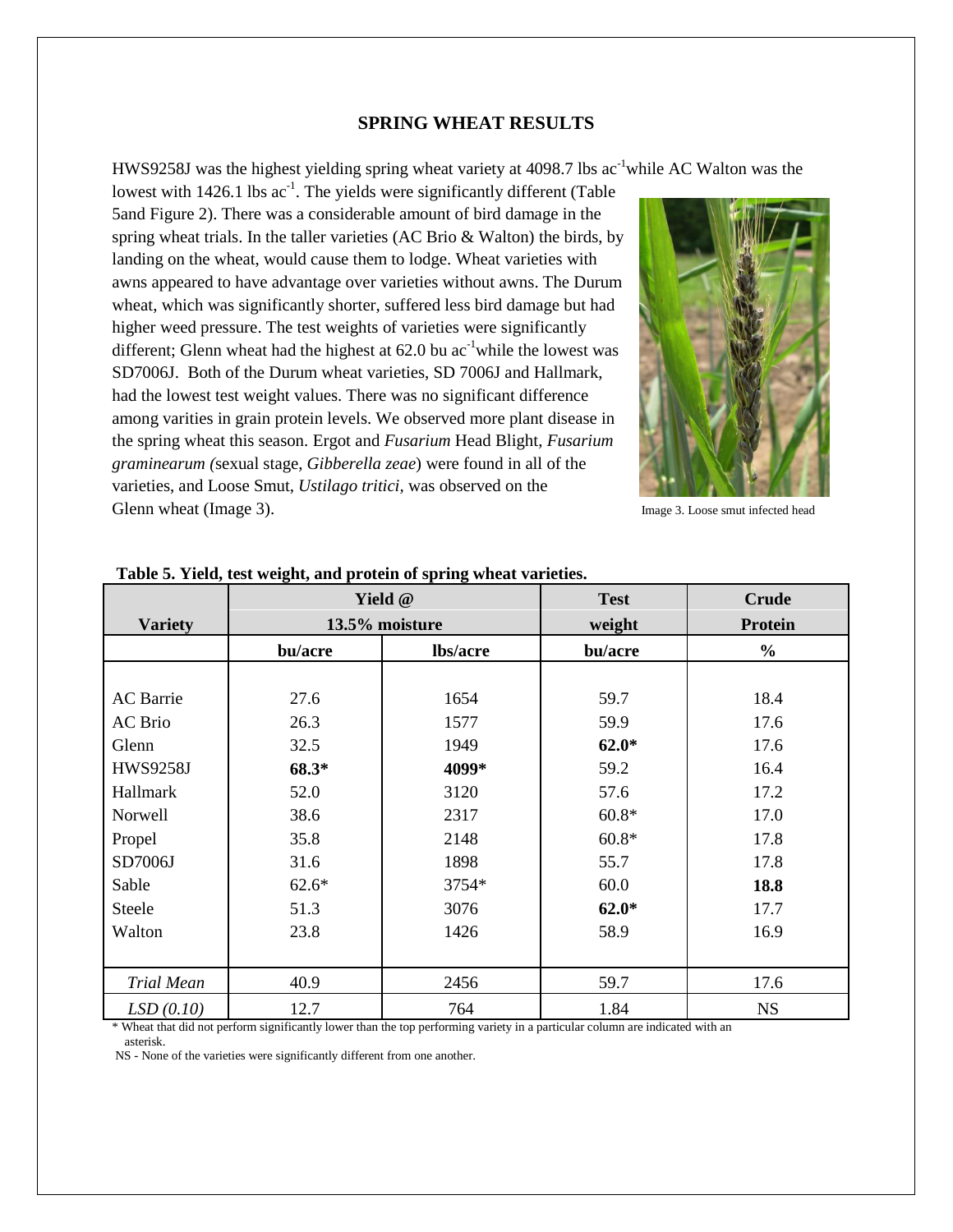## **SPRING WHEAT RESULTS**

HWS9258J was the highest yielding spring wheat variety at 4098.7 lbs ac<sup>-1</sup>while AC Walton was the

lowest with  $1426.1$  lbs  $ac^{-1}$ . The yields were significantly different (Table 5and Figure 2). There was a considerable amount of bird damage in the spring wheat trials. In the taller varieties (AC Brio & Walton) the birds, by landing on the wheat, would cause them to lodge. Wheat varieties with awns appeared to have advantage over varieties without awns. The Durum wheat, which was significantly shorter, suffered less bird damage but had higher weed pressure. The test weights of varieties were significantly different; Glenn wheat had the highest at  $62.0$  bu ac<sup>-1</sup>while the lowest was SD7006J. Both of the Durum wheat varieties, SD 7006J and Hallmark, had the lowest test weight values. There was no significant difference among varities in grain protein levels. We observed more plant disease in the spring wheat this season. Ergot and *Fusarium* Head Blight, *Fusarium graminearum (*sexual stage, *Gibberella zeae*) were found in all of the varieties, and Loose Smut, *Ustilago tritici,* was observed on the Glenn wheat (Image 3).  $\qquad \qquad$  Image 3. Loose smut infected head



|                   | Yield @        |          | <b>Test</b> | <b>Crude</b>   |
|-------------------|----------------|----------|-------------|----------------|
| <b>Variety</b>    | 13.5% moisture |          | weight      | <b>Protein</b> |
|                   | bu/acre        | lbs/acre | bu/acre     | $\frac{6}{6}$  |
|                   |                |          |             |                |
| <b>AC</b> Barrie  | 27.6           | 1654     | 59.7        | 18.4           |
| AC Brio           | 26.3           | 1577     | 59.9        | 17.6           |
| Glenn             | 32.5           | 1949     | $62.0*$     | 17.6           |
| <b>HWS9258J</b>   | 68.3*          | 4099*    | 59.2        | 16.4           |
| Hallmark          | 52.0           | 3120     | 57.6        | 17.2           |
| Norwell           | 38.6           | 2317     | $60.8*$     | 17.0           |
| Propel            | 35.8           | 2148     | $60.8*$     | 17.8           |
| SD7006J           | 31.6           | 1898     | 55.7        | 17.8           |
| Sable             | $62.6*$        | 3754*    | 60.0        | 18.8           |
| Steele            | 51.3           | 3076     | $62.0*$     | 17.7           |
| Walton            | 23.8           | 1426     | 58.9        | 16.9           |
|                   |                |          |             |                |
| <b>Trial Mean</b> | 40.9           | 2456     | 59.7        | 17.6           |
| LSD(0.10)         | 12.7           | 764      | 1.84        | <b>NS</b>      |

## **Table 5. Yield, test weight, and protein of spring wheat varieties.**

Wheat that did not perform significantly lower than the top performing variety in a particular column are indicated with an asterisk.

NS - None of the varieties were significantly different from one another.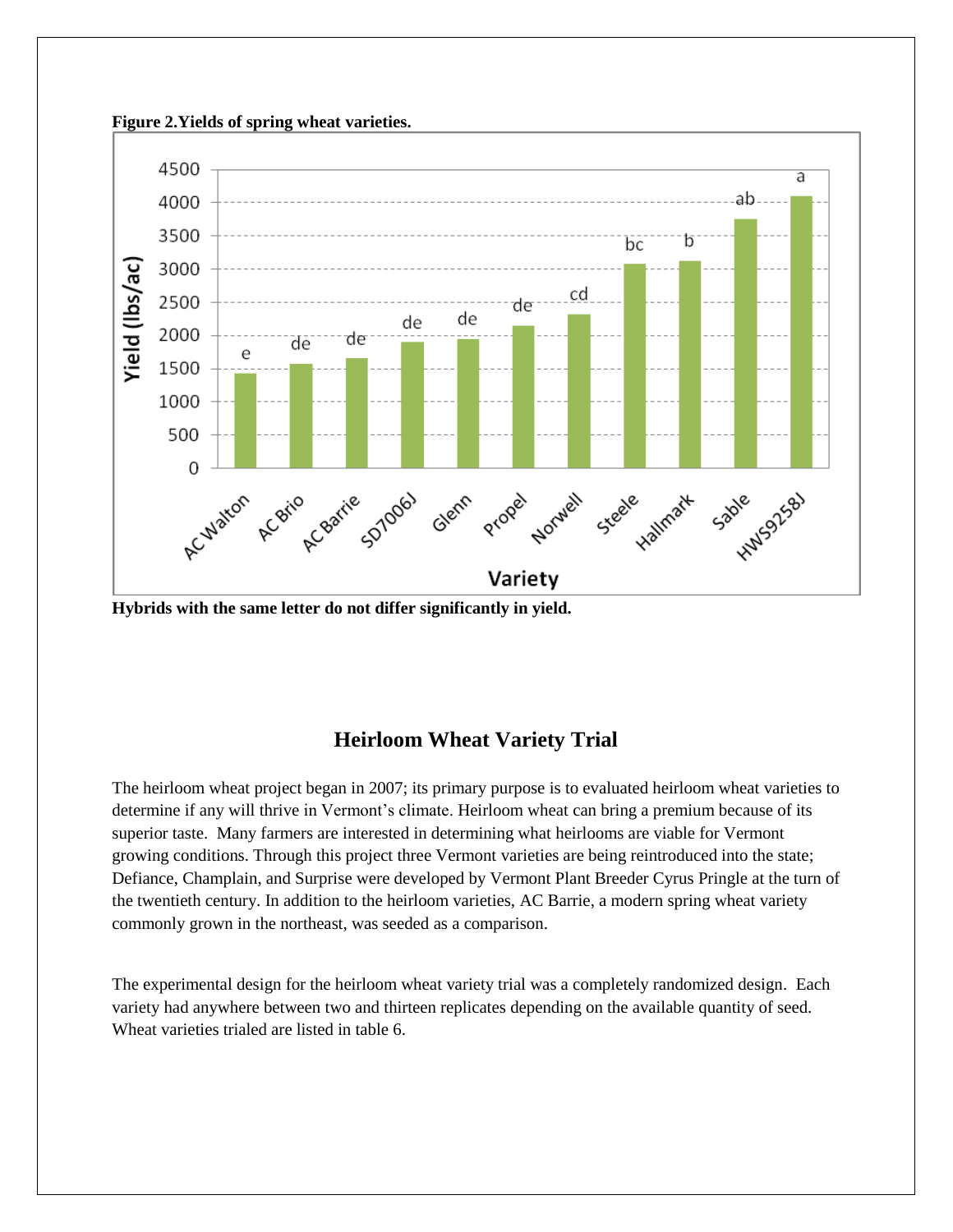

**Hybrids with the same letter do not differ significantly in yield.** 

# **Heirloom Wheat Variety Trial**

The heirloom wheat project began in 2007; its primary purpose is to evaluated heirloom wheat varieties to determine if any will thrive in Vermont's climate. Heirloom wheat can bring a premium because of its superior taste. Many farmers are interested in determining what heirlooms are viable for Vermont growing conditions. Through this project three Vermont varieties are being reintroduced into the state; Defiance, Champlain, and Surprise were developed by Vermont Plant Breeder Cyrus Pringle at the turn of the twentieth century. In addition to the heirloom varieties, AC Barrie, a modern spring wheat variety commonly grown in the northeast, was seeded as a comparison.

The experimental design for the heirloom wheat variety trial was a completely randomized design. Each variety had anywhere between two and thirteen replicates depending on the available quantity of seed. Wheat varieties trialed are listed in table 6.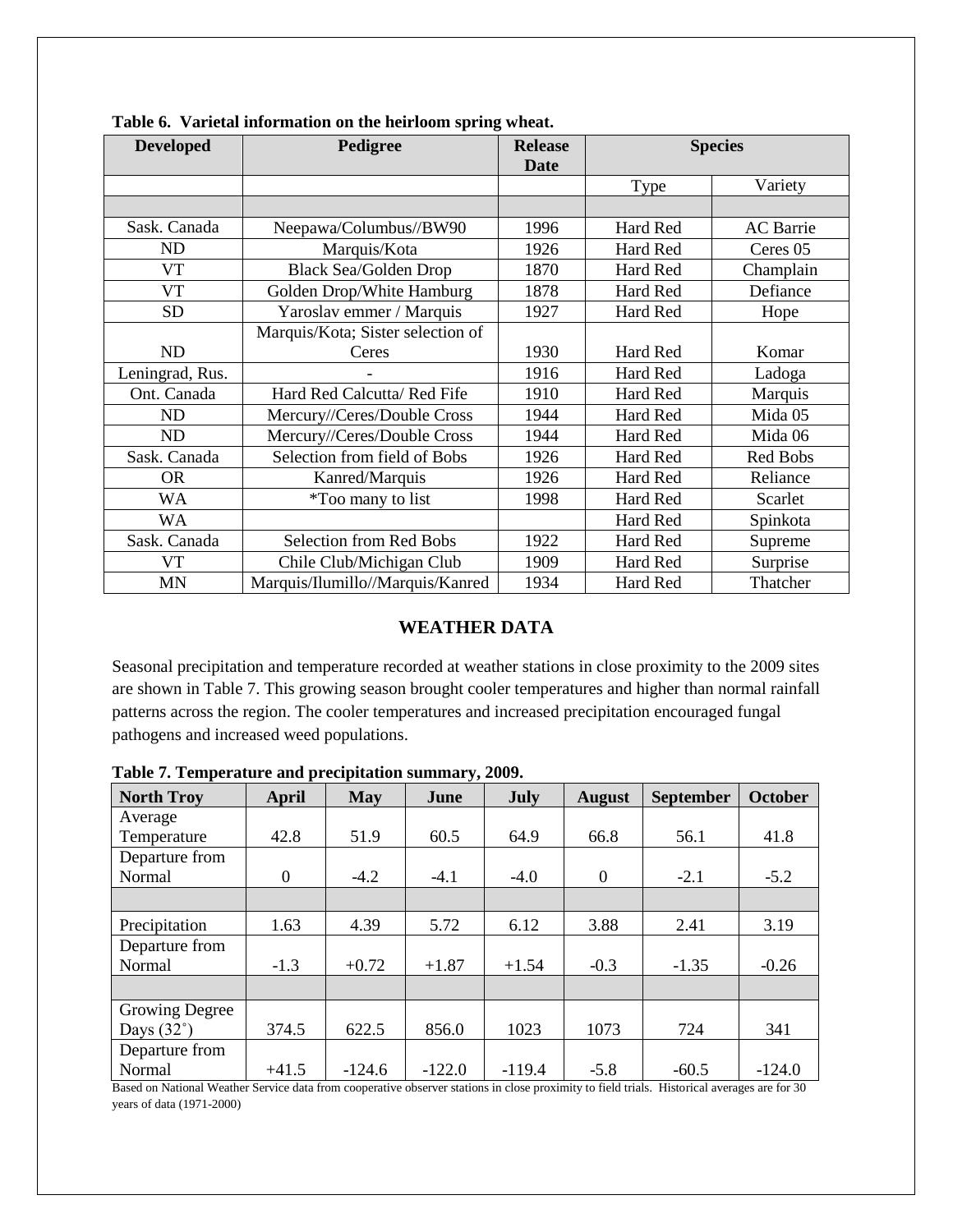| <b>Developed</b> | Pedigree                          | <b>Release</b><br><b>Date</b> | <b>Species</b>         |                  |
|------------------|-----------------------------------|-------------------------------|------------------------|------------------|
|                  |                                   |                               | Variety<br><b>Type</b> |                  |
|                  |                                   |                               |                        |                  |
| Sask. Canada     | Neepawa/Columbus//BW90            | 1996                          | Hard Red               | <b>AC</b> Barrie |
| <b>ND</b>        | Marquis/Kota                      | 1926                          | Hard Red               | Ceres 05         |
| <b>VT</b>        | <b>Black Sea/Golden Drop</b>      | 1870                          | Hard Red               | Champlain        |
| <b>VT</b>        | Golden Drop/White Hamburg         | 1878                          | Hard Red               | Defiance         |
| <b>SD</b>        | Yaroslav emmer / Marquis          | 1927                          | Hard Red<br>Hope       |                  |
|                  | Marquis/Kota; Sister selection of |                               |                        |                  |
| <b>ND</b>        | Ceres                             | 1930                          | Hard Red               | Komar            |
| Leningrad, Rus.  |                                   | 1916                          | Hard Red               | Ladoga           |
| Ont. Canada      | Hard Red Calcutta/ Red Fife       | 1910                          | Hard Red               | Marquis          |
| <b>ND</b>        | Mercury//Ceres/Double Cross       | 1944                          | Hard Red               | Mida 05          |
| <b>ND</b>        | Mercury//Ceres/Double Cross       | 1944                          | Hard Red               | Mida 06          |
| Sask. Canada     | Selection from field of Bobs      | 1926                          | Hard Red               | Red Bobs         |
| <b>OR</b>        | Kanred/Marquis                    | 1926                          | Hard Red               | Reliance         |
| <b>WA</b>        | <i>*</i> Too many to list         | 1998                          | Hard Red               | Scarlet          |
| <b>WA</b>        |                                   |                               | Hard Red               | Spinkota         |
| Sask. Canada     | Selection from Red Bobs           | 1922                          | Hard Red               | Supreme          |
| VT               | Chile Club/Michigan Club          | 1909                          | Hard Red               | Surprise         |
| <b>MN</b>        | Marquis/Ilumillo//Marquis/Kanred  | 1934                          | Hard Red               | Thatcher         |

**Table 6. Varietal information on the heirloom spring wheat.**

# **WEATHER DATA**

Seasonal precipitation and temperature recorded at weather stations in close proximity to the 2009 sites are shown in Table 7. This growing season brought cooler temperatures and higher than normal rainfall patterns across the region. The cooler temperatures and increased precipitation encouraged fungal pathogens and increased weed populations.

| <b>North Troy</b>                                                                                                                                                                                                                                                                                                                            | <b>April</b>                               | <b>May</b> | $\mathbf{v}$<br>June                                                                                                        | July     | <b>August</b>                                                                                                             | <b>September</b> | <b>October</b> |
|----------------------------------------------------------------------------------------------------------------------------------------------------------------------------------------------------------------------------------------------------------------------------------------------------------------------------------------------|--------------------------------------------|------------|-----------------------------------------------------------------------------------------------------------------------------|----------|---------------------------------------------------------------------------------------------------------------------------|------------------|----------------|
| Average                                                                                                                                                                                                                                                                                                                                      |                                            |            |                                                                                                                             |          |                                                                                                                           |                  |                |
| Temperature                                                                                                                                                                                                                                                                                                                                  | 42.8                                       | 51.9       | 60.5                                                                                                                        | 64.9     | 66.8                                                                                                                      | 56.1             | 41.8           |
| Departure from                                                                                                                                                                                                                                                                                                                               |                                            |            |                                                                                                                             |          |                                                                                                                           |                  |                |
| Normal                                                                                                                                                                                                                                                                                                                                       | $\boldsymbol{0}$                           | $-4.2$     | $-4.1$                                                                                                                      | $-4.0$   | $\theta$                                                                                                                  | $-2.1$           | $-5.2$         |
|                                                                                                                                                                                                                                                                                                                                              |                                            |            |                                                                                                                             |          |                                                                                                                           |                  |                |
| Precipitation                                                                                                                                                                                                                                                                                                                                | 1.63                                       | 4.39       | 5.72                                                                                                                        | 6.12     | 3.88                                                                                                                      | 2.41             | 3.19           |
| Departure from                                                                                                                                                                                                                                                                                                                               |                                            |            |                                                                                                                             |          |                                                                                                                           |                  |                |
| Normal                                                                                                                                                                                                                                                                                                                                       | $-1.3$                                     | $+0.72$    | $+1.87$                                                                                                                     | $+1.54$  | $-0.3$                                                                                                                    | $-1.35$          | $-0.26$        |
|                                                                                                                                                                                                                                                                                                                                              |                                            |            |                                                                                                                             |          |                                                                                                                           |                  |                |
| <b>Growing Degree</b>                                                                                                                                                                                                                                                                                                                        |                                            |            |                                                                                                                             |          |                                                                                                                           |                  |                |
| Days $(32^\circ)$                                                                                                                                                                                                                                                                                                                            | 374.5                                      | 622.5      | 856.0                                                                                                                       | 1023     | 1073                                                                                                                      | 724              | 341            |
| Departure from                                                                                                                                                                                                                                                                                                                               |                                            |            |                                                                                                                             |          |                                                                                                                           |                  |                |
| Normal<br>$\mathbf{D}$ $\mathbf{I}$ $\mathbf{M}$ $\mathbf{M}$ $\mathbf{I}$ $\mathbf{M}$ $\mathbf{I}$ $\mathbf{M}$ $\mathbf{I}$ $\mathbf{M}$ $\mathbf{I}$ $\mathbf{M}$ $\mathbf{I}$ $\mathbf{M}$ $\mathbf{I}$ $\mathbf{M}$ $\mathbf{I}$ $\mathbf{M}$ $\mathbf{I}$ $\mathbf{M}$ $\mathbf{I}$ $\mathbf{M}$ $\mathbf{I}$ $\mathbf{M}$ $\mathbf{$ | $+41.5$<br>$\cdot$ $\cdot$ $\cdot$ $\cdot$ | $-124.6$   | $-122.0$<br>the contract of the contract of the contract of the contract of the contract of the contract of the contract of | $-119.4$ | $-5.8$<br>the contract of the contract of the contract of the contract of the contract of the contract of the contract of | $-60.5$          | $-124.0$       |

**Table 7. Temperature and precipitation summary, 2009.**

Based on National Weather Service data from cooperative observer stations in close proximity to field trials. Historical averages are for 30 years of data (1971-2000)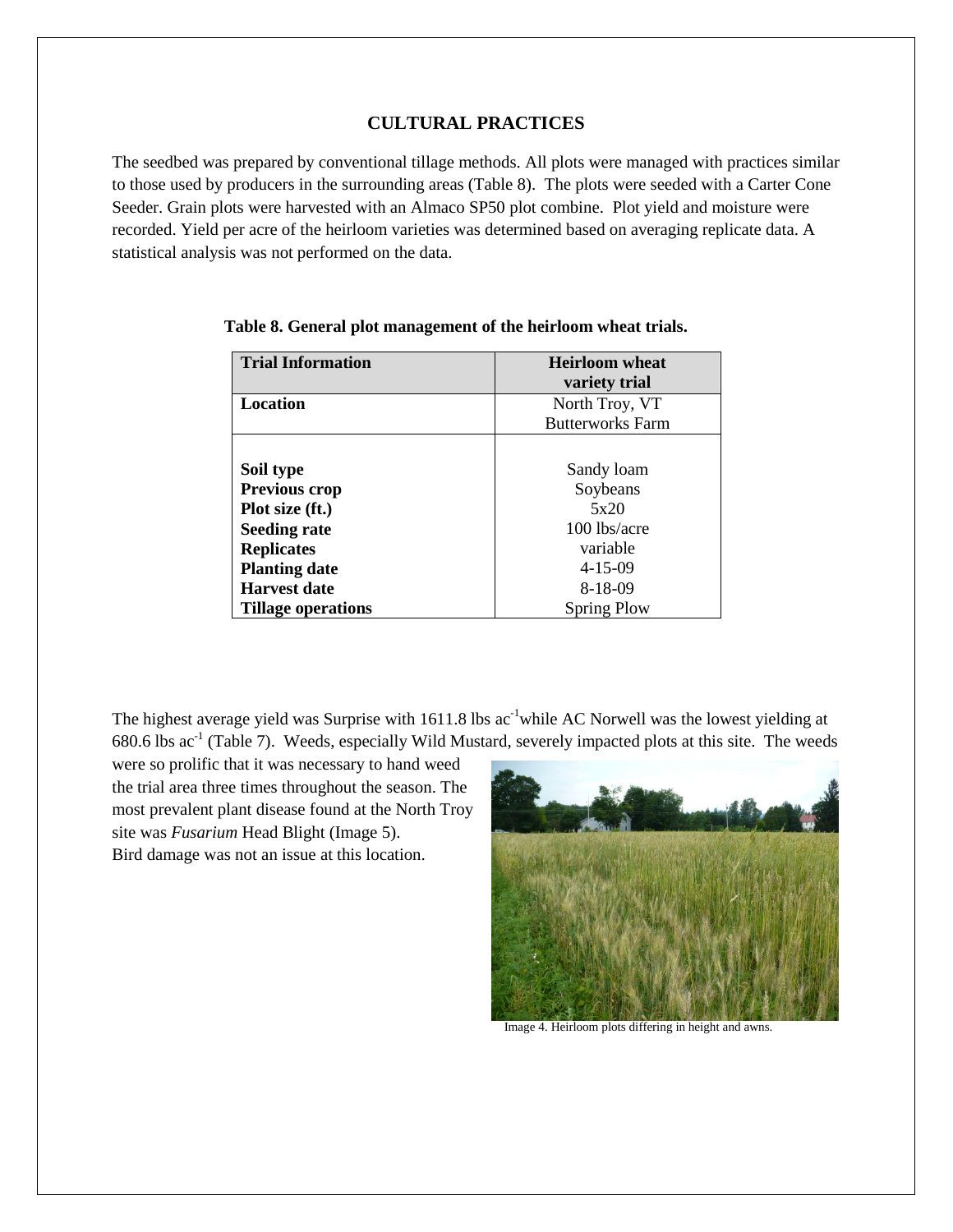# **CULTURAL PRACTICES**

The seedbed was prepared by conventional tillage methods. All plots were managed with practices similar to those used by producers in the surrounding areas (Table 8). The plots were seeded with a Carter Cone Seeder. Grain plots were harvested with an Almaco SP50 plot combine. Plot yield and moisture were recorded. Yield per acre of the heirloom varieties was determined based on averaging replicate data. A statistical analysis was not performed on the data.

| <b>Trial Information</b> | <b>Heirloom</b> wheat   |  |  |
|--------------------------|-------------------------|--|--|
|                          | variety trial           |  |  |
| Location                 | North Troy, VT          |  |  |
|                          | <b>Butterworks Farm</b> |  |  |
|                          |                         |  |  |
| Soil type                | Sandy loam              |  |  |
| <b>Previous crop</b>     | Soybeans                |  |  |
| Plot size (ft.)          | 5x20                    |  |  |
| <b>Seeding rate</b>      | $100$ lbs/acre          |  |  |
| <b>Replicates</b>        | variable                |  |  |
| <b>Planting date</b>     | $4 - 15 - 09$           |  |  |
| <b>Harvest date</b>      | 8-18-09                 |  |  |
| Tillage operations       | <b>Spring Plow</b>      |  |  |

**Table 8. General plot management of the heirloom wheat trials.**

The highest average yield was Surprise with 1611.8 lbs ac<sup>-1</sup>while AC Norwell was the lowest yielding at  $680.6$  lbs  $ac^{-1}$  (Table 7). Weeds, especially Wild Mustard, severely impacted plots at this site. The weeds

were so prolific that it was necessary to hand weed the trial area three times throughout the season. The most prevalent plant disease found at the North Troy site was *Fusarium* Head Blight (Image 5). Bird damage was not an issue at this location.



Image 4. Heirloom plots differing in height and awns.